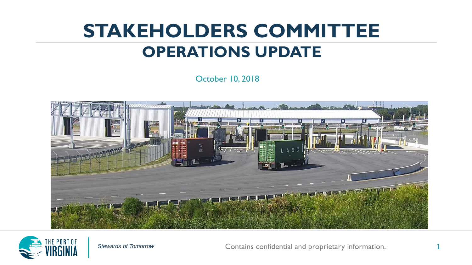#### **STAKEHOLDERS COMMITTEE OPERATIONS UPDATE**

October 10, 2018





**Stewards of Tomorrow Contains confidential and proprietary information.**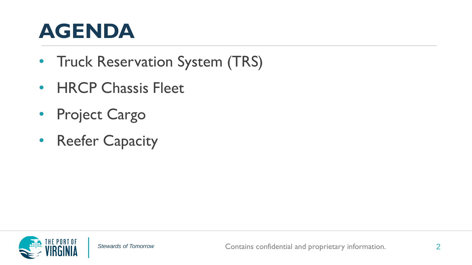#### **AGENDA**

- Truck Reservation System (TRS)
- HRCP Chassis Fleet
- Project Cargo
- Reefer Capacity

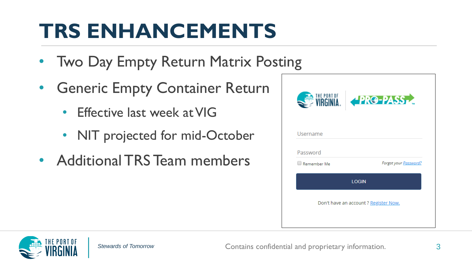### **TRS ENHANCEMENTS**

- Two Day Empty Return Matrix Posting
- Generic Empty Container Return
	- Effective last week at VIG
	- NIT projected for mid-October
- Additional TRS Team members



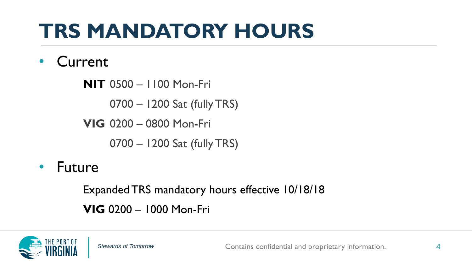# **TRS MANDATORY HOURS**

#### • Current

**NIT** 0500 – 1100 Mon-Fri

0700 – 1200 Sat (fully TRS)

**VIG** 0200 – 0800 Mon-Fri

0700 – 1200 Sat (fully TRS)

• Future

Expanded TRS mandatory hours effective 10/18/18 **VIG** 0200 – 1000 Mon-Fri

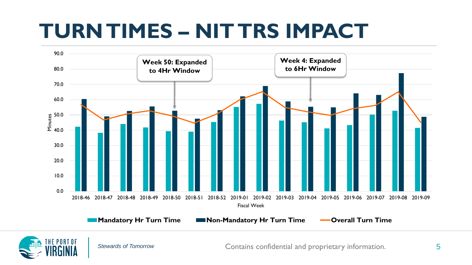#### **TURN TIMES – NIT TRS IMPACT**



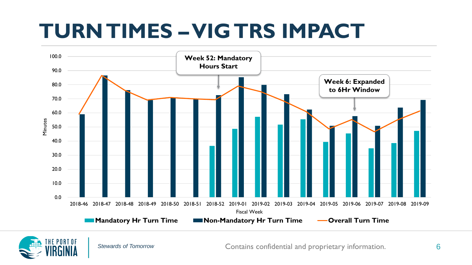#### **TURN TIMES –VIG TRS IMPACT**



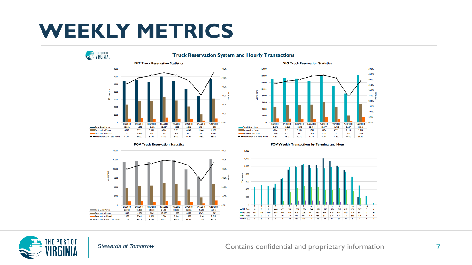#### **WEEKLY METRICS**







POV Weekly Transactions by Terminal and Hour



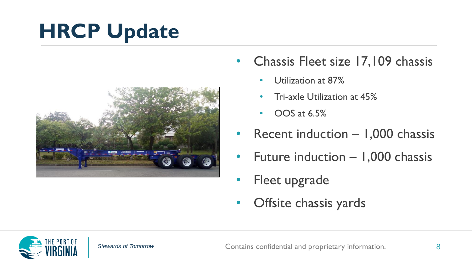# **HRCP Update**



- Chassis Fleet size 17,109 chassis
	- Utilization at 87%
	- Tri-axle Utilization at 45%
	- OOS at 6.5%
- Recent induction  $-1,000$  chassis
- Future induction 1,000 chassis
- Fleet upgrade
- Offsite chassis yards

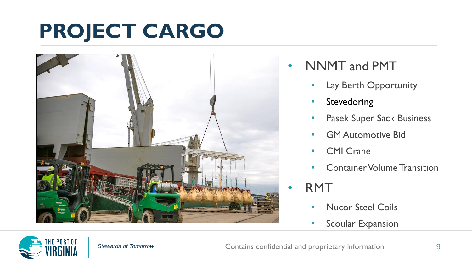### **PROJECT CARGO**



- NNMT and PMT
	- Lay Berth Opportunity
	- Stevedoring
	- Pasek Super Sack Business
	- GM Automotive Bid
	- CMI Crane
	- Container Volume Transition

• RMT

- Nucor Steel Coils
- Scoular Expansion

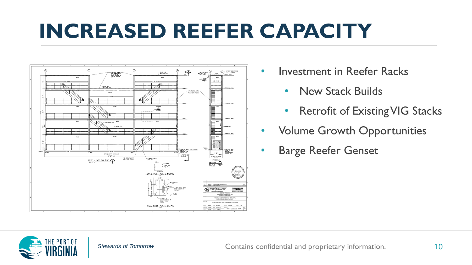#### **INCREASED REEFER CAPACITY**



- Investment in Reefer Racks
	- New Stack Builds
	- Retrofit of Existing VIG Stacks
- Volume Growth Opportunities
- Barge Reefer Genset